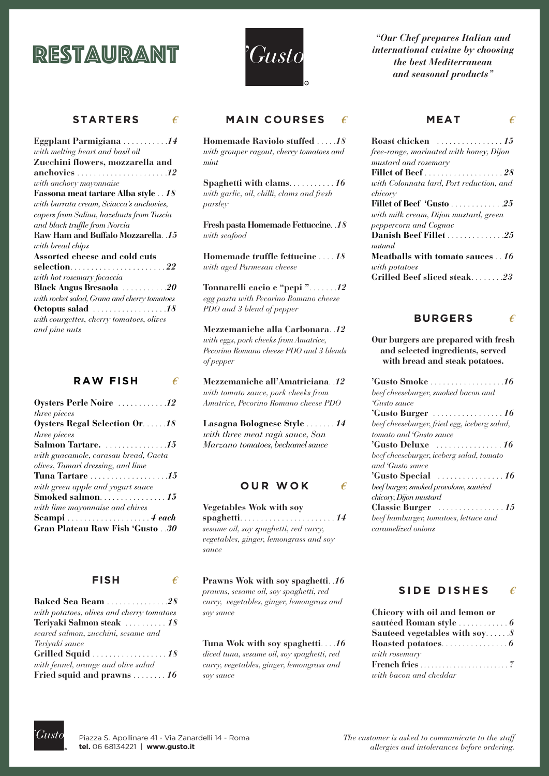# restaurant



**STARTERS** *€*

| Eggplant Parmigiana  14                                  |
|----------------------------------------------------------|
| with melting heart and basil oil                         |
| Zucchini flowers, mozzarella and                         |
| anchovies $\ldots \ldots \ldots \ldots \ldots \ldots 12$ |
| with anchovy mayonnaise                                  |
| Fassona meat tartare Alba style 18                       |
| with burrata cream, Sciacca's anchovies,                 |
| capers from Salina, hazelnuts from Tuscia                |
| and black truffle from Norcia                            |
| Raw Ham and Buffalo Mozzarella. .15                      |
| with bread chips                                         |
| Assorted cheese and cold cuts                            |
|                                                          |
| with hot rosemary focaccia                               |
| <b>Black Angus Bresaola</b> 20                           |
| with rocket salad, Grana and cherry tomatoes             |
| Octopus salad $\ldots \ldots \ldots \ldots \ldots 18$    |
| with courgettes, cherry tomatoes, olives                 |
| and pine nuts                                            |

| <b>RAW FISH</b> |  |
|-----------------|--|
|                 |  |

| <b>Oysters Perle Noire  12</b>        |
|---------------------------------------|
| three pieces                          |
| Oysters Regal Selection Or18          |
| three pieces                          |
|                                       |
| with guacamole, carasau bread, Gaeta  |
| olives, Tamari dressing, and lime     |
|                                       |
| with green apple and yogurt sauce     |
|                                       |
| with lime mayonnaise and chives       |
|                                       |
| <b>Gran Plateau Raw Fish 'Gusto30</b> |

#### **FISH**

| Baked Sea Beam 28                         |
|-------------------------------------------|
| with potatoes, olives and cherry tomatoes |
| Teriyaki Salmon steak 18                  |
| seared salmon, zucchini, sesame and       |
| Teriyaki sauce                            |
|                                           |
| with fennel, orange and olive salad       |
| Fried squid and prawns $\dots \dots 16$   |

## **MAIN COURSES**

**Homemade Raviolo stuffed** . . . . .*18 with grouper ragout, cherry tomatoes and mint*

**Spaghetti with clams**. . . . . . . . . . . *16 with garlic, oil, chilli, clams and fresh parsley*

**Fresh pasta Homemade Fettuccine**. .*18 with seafood*

**Homemade truffle fettucine** . . . . *18 with aged Parmesan cheese*

**Tonnarelli cacio e "pepi "**. . . . . . .*12 egg pasta with Pecorino Romano cheese PDO and 3 blend of pepper*

**Mezzemaniche alla Carbonara**. .*12 with eggs, pork cheeks from Amatrice, Pecorino Romano cheese PDO and 3 blends of pepper*

**Mezzemaniche all'Amatriciana**. .*12 with tomato sauce, pork cheeks from Amatrice, Pecorino Romano cheese PDO*

**Lasagna Bolognese Style** . . . . . . . *14 with three meat ragù sauce, San Marzano tomatoes, bechamel sauce*

#### **OUR WOK**

*€*

**Vegetables Wok with soy spaghetti**. . . . . . . . . . . . . . . . . . . . . . . *14 sesame oil, soy spaghetti, red curry, vegetables, ginger, lemongrass and soy sauce*

**Prawns Wok with soy spaghetti**. .*16 prawns, sesame oil, soy spaghetti, red curry, vegetables, ginger, lemongrass and soy sauce*

**Tuna Wok with soy spaghetti**. . . .*16 diced tuna, sesame oil, soy spaghetti, red curry, vegetables, ginger, lemongrass and soy sauce*

*"Our Chef prepares Italian and international cuisine by choosing the best Mediterranean and seasonal products"*

### $\epsilon$  **MEAT**  $\epsilon$

| free-range, marinated with honey, Dijon  |
|------------------------------------------|
| mustard and rosemary                     |
|                                          |
| with Colonnata lard, Port reduction, and |
| chicory                                  |
| Fillet of Beef 'Gusto 25                 |
| with milk cream, Dijon mustard, green    |
| peppercorn and Cognac                    |
| Danish Beef Fillet 25                    |
| natural                                  |
| Meatballs with tomato sauces 16          |
| with potatoes                            |
| Grilled Beef sliced steak23              |

#### **BURGERS** *€*

**Our burgers are prepared with fresh and selected ingredients, served with bread and steak potatoes.**

| <b>'Gusto Smoke</b> 16                          |
|-------------------------------------------------|
| beef cheeseburger, smoked bacon and             |
| <i>Custo sauce</i>                              |
| 'Gusto Burger                                   |
| beef cheeseburger, fried egg, iceberg salad,    |
| tomato and 'Gusto sauce                         |
|                                                 |
| beef cheeseburger, iceberg salad, tomato        |
| and 'Gusto sauce                                |
| 'Gusto Special $\ldots \ldots \ldots \ldots 16$ |
| beef burger, smoked provolone, sautéed          |
| chicory, Dijon mustard                          |
|                                                 |
| beef hamburger, tomatoes, lettuce and           |
| caramelized onions                              |

#### **SIDE DISHES** *€*

|               | Chicory with oil and lemon or                                   |
|---------------|-----------------------------------------------------------------|
|               | sautéed Roman style $\dots\dots\dots\dots$                      |
|               | Sauteed vegetables with soy $\mathcal{S}$                       |
|               | Roasted potatoes. 6                                             |
| with rosemary |                                                                 |
|               | French fries $\ldots \ldots \ldots \ldots \ldots \ldots \ldots$ |
|               | with bacon and cheddar                                          |



*€*